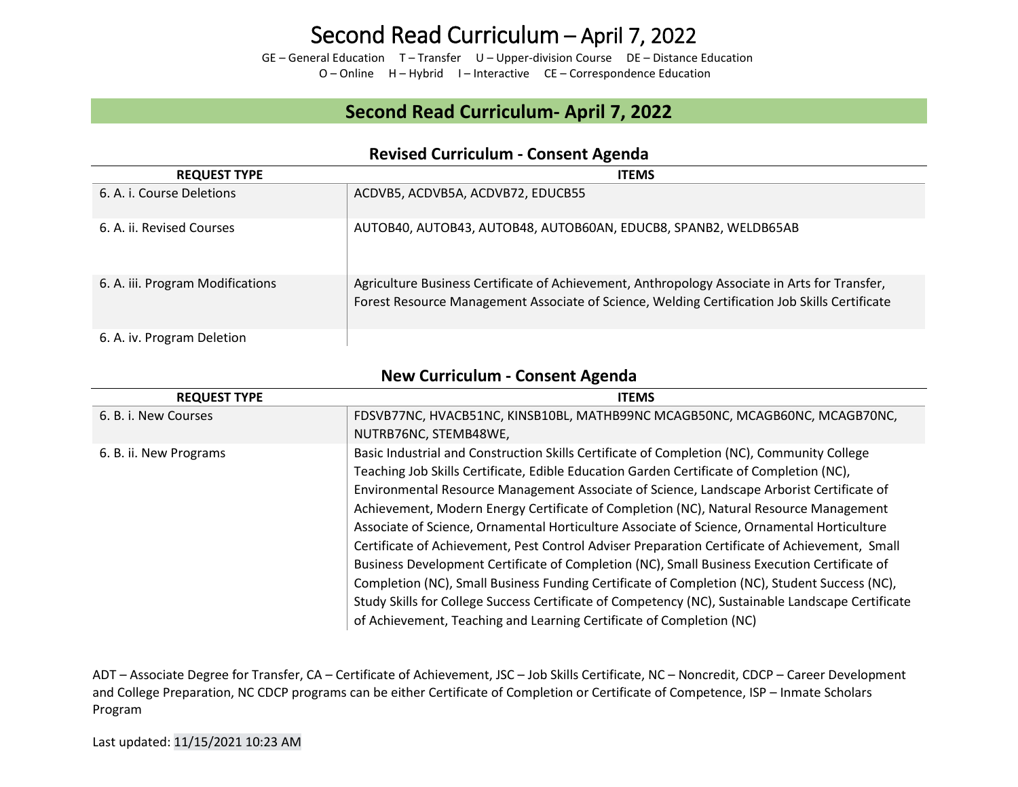GE – General Education T – Transfer U – Upper-division Course DE – Distance Education O – Online H – Hybrid I – Interactive CE – Correspondence Education

### **Second Read Curriculum- April 7, 2022**

|                                  | $11211929$ callicatum consciit recitad                                                                                                                                                         |
|----------------------------------|------------------------------------------------------------------------------------------------------------------------------------------------------------------------------------------------|
| <b>REQUEST TYPE</b>              | <b>ITEMS</b>                                                                                                                                                                                   |
| 6. A. i. Course Deletions        | ACDVB5, ACDVB5A, ACDVB72, EDUCB55                                                                                                                                                              |
| 6. A. ii. Revised Courses        | AUTOB40, AUTOB43, AUTOB48, AUTOB60AN, EDUCB8, SPANB2, WELDB65AB                                                                                                                                |
| 6. A. iii. Program Modifications | Agriculture Business Certificate of Achievement, Anthropology Associate in Arts for Transfer,<br>Forest Resource Management Associate of Science, Welding Certification Job Skills Certificate |
| 6. A. iv. Program Deletion       |                                                                                                                                                                                                |

### **Revised Curriculum - Consent Agenda**

### **New Curriculum - Consent Agenda**

| <b>REQUEST TYPE</b>    | <b>ITEMS</b>                                                                                       |
|------------------------|----------------------------------------------------------------------------------------------------|
| 6. B. i. New Courses   | FDSVB77NC, HVACB51NC, KINSB10BL, MATHB99NC MCAGB50NC, MCAGB60NC, MCAGB70NC,                        |
|                        | NUTRB76NC, STEMB48WE,                                                                              |
| 6. B. ii. New Programs | Basic Industrial and Construction Skills Certificate of Completion (NC), Community College         |
|                        | Teaching Job Skills Certificate, Edible Education Garden Certificate of Completion (NC),           |
|                        | Environmental Resource Management Associate of Science, Landscape Arborist Certificate of          |
|                        | Achievement, Modern Energy Certificate of Completion (NC), Natural Resource Management             |
|                        | Associate of Science, Ornamental Horticulture Associate of Science, Ornamental Horticulture        |
|                        | Certificate of Achievement, Pest Control Adviser Preparation Certificate of Achievement, Small     |
|                        | Business Development Certificate of Completion (NC), Small Business Execution Certificate of       |
|                        | Completion (NC), Small Business Funding Certificate of Completion (NC), Student Success (NC),      |
|                        | Study Skills for College Success Certificate of Competency (NC), Sustainable Landscape Certificate |
|                        | of Achievement, Teaching and Learning Certificate of Completion (NC)                               |

ADT – Associate Degree for Transfer, CA – Certificate of Achievement, JSC – Job Skills Certificate, NC – Noncredit, CDCP – Career Development and College Preparation, NC CDCP programs can be either Certificate of Completion or Certificate of Competence, ISP – Inmate Scholars Program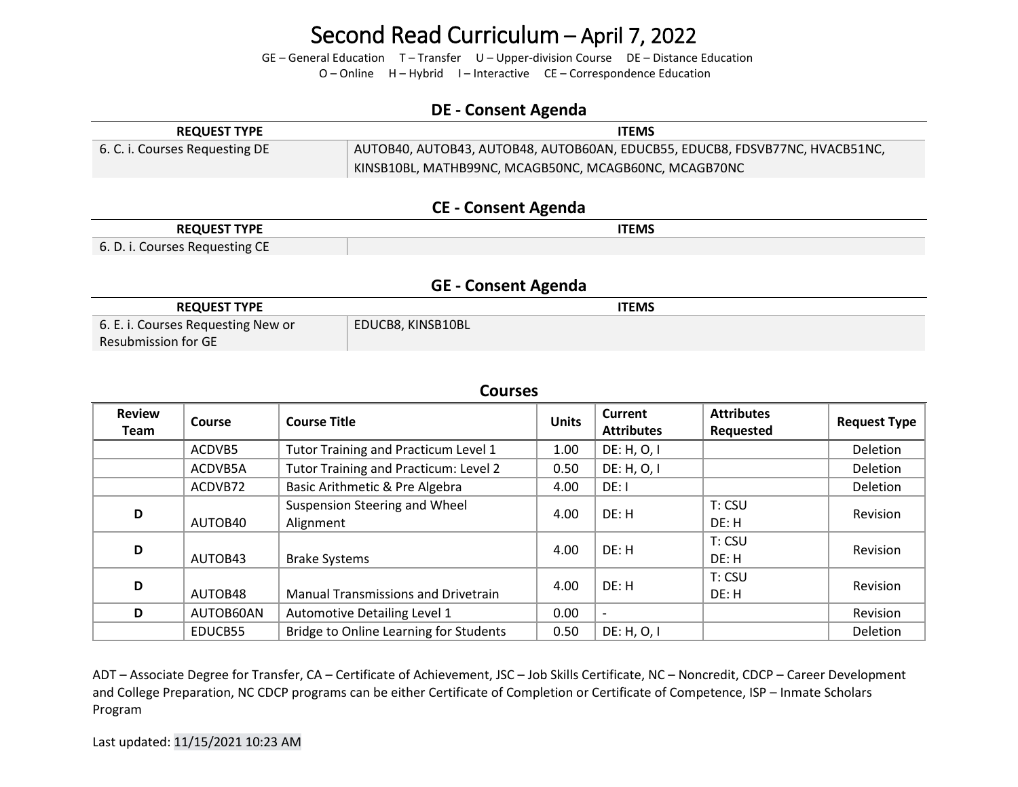GE – General Education T – Transfer U – Upper-division Course DE – Distance Education

O – Online H – Hybrid I – Interactive CE – Correspondence Education

### **DE - Consent Agenda**

| <b>REQUEST TYPE</b>            | <b>ITEMS</b>                                                                 |
|--------------------------------|------------------------------------------------------------------------------|
| 6. C. i. Courses Requesting DE | AUTOB40, AUTOB43, AUTOB48, AUTOB60AN, EDUCB55, EDUCB8, FDSVB77NC, HVACB51NC, |
|                                | KINSB10BL, MATHB99NC, MCAGB50NC, MCAGB60NC, MCAGB70NC                        |

### **CE - Consent Agenda**

| <b>REQUEST TYPE</b>            | ITEMS |
|--------------------------------|-------|
| 6. D. i. Courses Requesting CE |       |

#### **GE - Consent Agenda**

| <b>REQUEST TYPE</b>                | <b>ITEMS</b>      |
|------------------------------------|-------------------|
| 6. E. i. Courses Requesting New or | EDUCB8, KINSB10BL |
| Resubmission for GE                |                   |

### **Courses**

| <b>Review</b><br><b>Team</b> | Course    | <b>Course Title</b>                           | <b>Units</b> | <b>Current</b><br><b>Attributes</b> | <b>Attributes</b><br>Requested | <b>Request Type</b> |
|------------------------------|-----------|-----------------------------------------------|--------------|-------------------------------------|--------------------------------|---------------------|
|                              | ACDVB5    | Tutor Training and Practicum Level 1          | 1.00         | DE: H, O, I                         |                                | Deletion            |
|                              | ACDVB5A   | Tutor Training and Practicum: Level 2         | 0.50         | DE: H, O, I                         |                                | <b>Deletion</b>     |
|                              | ACDVB72   | Basic Arithmetic & Pre Algebra                | 4.00         | DE: I                               |                                | Deletion            |
| D                            | AUTOB40   | Suspension Steering and Wheel<br>Alignment    | 4.00         | DF: H                               | T: CSU<br>DE: H                | Revision            |
| D                            | AUTOB43   | <b>Brake Systems</b>                          | 4.00         | DE: H                               | T: CSU<br>DE: H                | Revision            |
| D                            | AUTOB48   | <b>Manual Transmissions and Drivetrain</b>    | 4.00         | DE: H                               | T: CSU<br>DE: H                | <b>Revision</b>     |
| D                            | AUTOB60AN | Automotive Detailing Level 1                  | 0.00         | $\overline{\phantom{a}}$            |                                | Revision            |
|                              | EDUCB55   | <b>Bridge to Online Learning for Students</b> | 0.50         | DE: H, O, I                         |                                | Deletion            |

ADT – Associate Degree for Transfer, CA – Certificate of Achievement, JSC – Job Skills Certificate, NC – Noncredit, CDCP – Career Development and College Preparation, NC CDCP programs can be either Certificate of Completion or Certificate of Competence, ISP – Inmate Scholars Program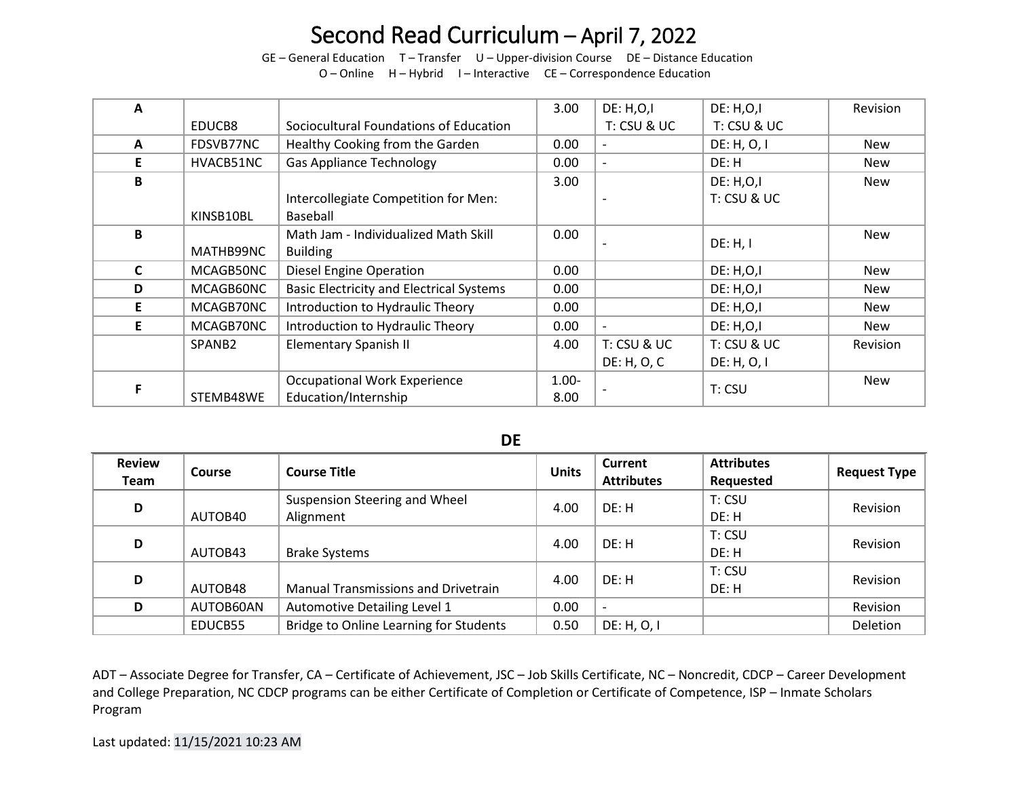GE – General Education T – Transfer U – Upper-division Course DE – Distance Education

O – Online H – Hybrid I – Interactive CE – Correspondence Education

| A            |                    |                                                 | 3.00     | DE: H, O, I   | <b>DE: H,O,I</b> | Revision        |
|--------------|--------------------|-------------------------------------------------|----------|---------------|------------------|-----------------|
|              | EDUCB8             | Sociocultural Foundations of Education          |          | T: CSU & UC   | T: CSU & UC      |                 |
| $\mathbf{A}$ | FDSVB77NC          | Healthy Cooking from the Garden                 | 0.00     |               | DE: H, O, I      | <b>New</b>      |
| E.           | HVACB51NC          | <b>Gas Appliance Technology</b>                 | 0.00     |               | DE: H            | <b>New</b>      |
| B            |                    |                                                 | 3.00     |               | DE: H, O, I      | <b>New</b>      |
|              |                    | Intercollegiate Competition for Men:            |          |               | T: CSU & UC      |                 |
|              | KINSB10BL          | Baseball                                        |          |               |                  |                 |
| B            |                    | Math Jam - Individualized Math Skill            | 0.00     |               | DE: H, I         | <b>New</b>      |
|              | MATHB99NC          | <b>Building</b>                                 |          |               |                  |                 |
| C            | MCAGB50NC          | <b>Diesel Engine Operation</b>                  | 0.00     |               | <b>DE: H,O,I</b> | New             |
| D            | MCAGB60NC          | <b>Basic Electricity and Electrical Systems</b> | 0.00     |               | DE: H, O, I      | <b>New</b>      |
| E.           | MCAGB70NC          | Introduction to Hydraulic Theory                | 0.00     |               | <b>DE: H,O,I</b> | New             |
| E.           | MCAGB70NC          | Introduction to Hydraulic Theory                | 0.00     |               | DE: H, O, I      | <b>New</b>      |
|              | SPANB <sub>2</sub> | <b>Elementary Spanish II</b>                    | 4.00     | $T:$ CSU & UC | T: CSU & UC      | <b>Revision</b> |
|              |                    |                                                 |          | DE: H, O, C   | DE: H, O, I      |                 |
|              |                    | <b>Occupational Work Experience</b>             | $1.00 -$ |               |                  | <b>New</b>      |
|              | STEMB48WE          | Education/Internship                            | 8.00     |               | T: CSU           |                 |

**DE**

| <b>Review</b><br><b>Team</b> | <b>Course</b> | <b>Course Title</b>                        | <b>Units</b> | <b>Current</b><br><b>Attributes</b> | <b>Attributes</b><br>Requested | <b>Request Type</b> |
|------------------------------|---------------|--------------------------------------------|--------------|-------------------------------------|--------------------------------|---------------------|
| D                            | AUTOB40       | Suspension Steering and Wheel<br>Alignment | 4.00         | DE: H                               | T: CSU<br>DE: H                | Revision            |
| D                            | AUTOB43       | <b>Brake Systems</b>                       | 4.00         | DE: H                               | T: CSU<br>DE: H                | Revision            |
| D                            | AUTOB48       | <b>Manual Transmissions and Drivetrain</b> | 4.00         | DE: H                               | T: CSU<br>DE: H                | <b>Revision</b>     |
| D                            | AUTOB60AN     | Automotive Detailing Level 1               | 0.00         |                                     |                                | Revision            |
|                              | EDUCB55       | Bridge to Online Learning for Students     | 0.50         | DE: H, O, I                         |                                | Deletion            |

ADT – Associate Degree for Transfer, CA – Certificate of Achievement, JSC – Job Skills Certificate, NC – Noncredit, CDCP – Career Development and College Preparation, NC CDCP programs can be either Certificate of Completion or Certificate of Competence, ISP – Inmate Scholars Program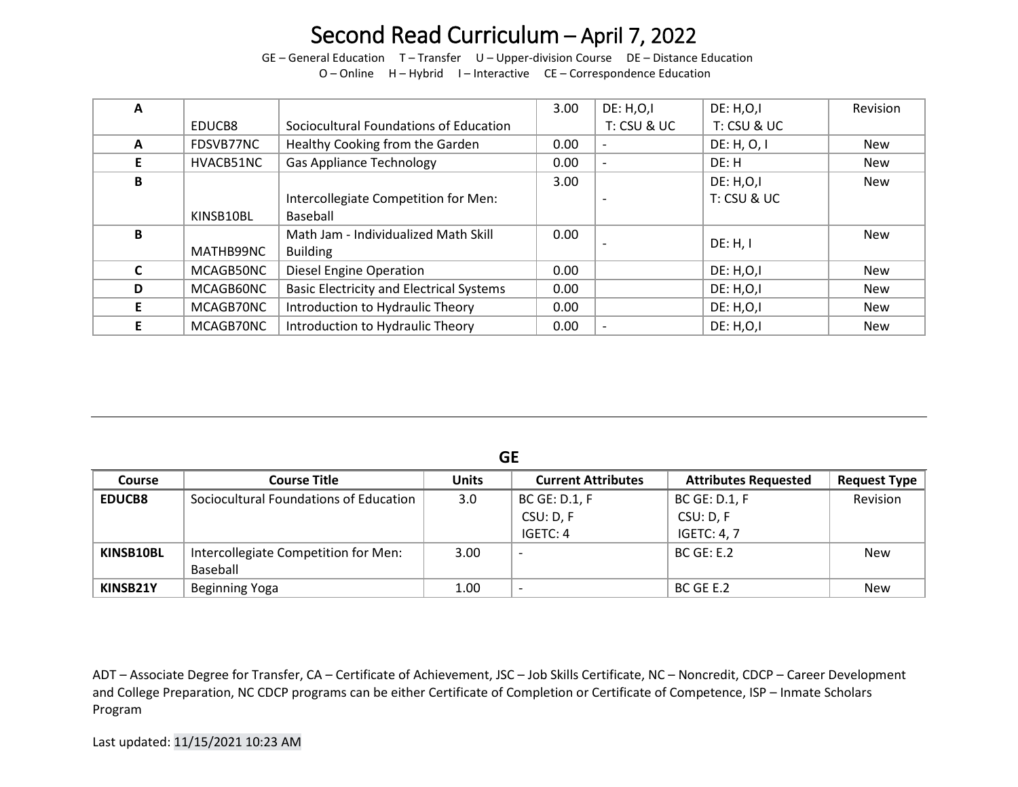GE – General Education T – Transfer U – Upper-division Course DE – Distance Education

|  |  |  | O - Online H - Hybrid I - Interactive CE - Correspondence Education |
|--|--|--|---------------------------------------------------------------------|
|--|--|--|---------------------------------------------------------------------|

| A |           |                                                 | 3.00 | DE: H, O, I              | DE: H, O, I      | Revision   |
|---|-----------|-------------------------------------------------|------|--------------------------|------------------|------------|
|   | EDUCB8    | Sociocultural Foundations of Education          |      | T: CSU & UC              | T: CSU & UC      |            |
| A | FDSVB77NC | Healthy Cooking from the Garden                 | 0.00 |                          | DE: H, O, I      | <b>New</b> |
|   | HVACB51NC | <b>Gas Appliance Technology</b>                 | 0.00 | $\overline{\phantom{0}}$ | DE: H            | <b>New</b> |
| B |           |                                                 | 3.00 |                          | DE: H, O, I      | New        |
|   |           | Intercollegiate Competition for Men:            |      |                          | T: CSU & UC      |            |
|   | KINSB10BL | Baseball                                        |      |                          |                  |            |
| B |           | Math Jam - Individualized Math Skill            | 0.00 |                          | DE: H, I         | New        |
|   | MATHB99NC | <b>Building</b>                                 |      |                          |                  |            |
|   | MCAGB50NC | <b>Diesel Engine Operation</b>                  | 0.00 |                          | DE: H, O, I      | <b>New</b> |
| D | MCAGB60NC | <b>Basic Electricity and Electrical Systems</b> | 0.00 |                          | DE: H, O, I      | <b>New</b> |
|   | MCAGB70NC | Introduction to Hydraulic Theory                | 0.00 |                          | <b>DE: H,O,I</b> | <b>New</b> |
|   | MCAGB70NC | Introduction to Hydraulic Theory                | 0.00 |                          | <b>DE: H,O,I</b> | <b>New</b> |

**GE**

| <b>Course</b> | <b>Course Title</b>                    | <b>Units</b> | <b>Current Attributes</b> | <b>Attributes Requested</b> | <b>Request Type</b> |
|---------------|----------------------------------------|--------------|---------------------------|-----------------------------|---------------------|
| <b>EDUCB8</b> | Sociocultural Foundations of Education | 3.0          | <b>BC GE: D.1, F</b>      | <b>BC GE: D.1, F</b>        | Revision            |
|               |                                        |              | CSU: D, F                 | CSU: D, F                   |                     |
|               |                                        |              | IGETC: 4                  | <b>IGETC: 4, 7</b>          |                     |
| KINSB10BL     | Intercollegiate Competition for Men:   | 3.00         | $\overline{\phantom{0}}$  | BCGE: E.2                   | <b>New</b>          |
|               | Baseball                               |              |                           |                             |                     |
| KINSB21Y      | <b>Beginning Yoga</b>                  | 1.00         | $\overline{\phantom{0}}$  | BC GE E.2                   | <b>New</b>          |

ADT – Associate Degree for Transfer, CA – Certificate of Achievement, JSC – Job Skills Certificate, NC – Noncredit, CDCP – Career Development and College Preparation, NC CDCP programs can be either Certificate of Completion or Certificate of Competence, ISP – Inmate Scholars Program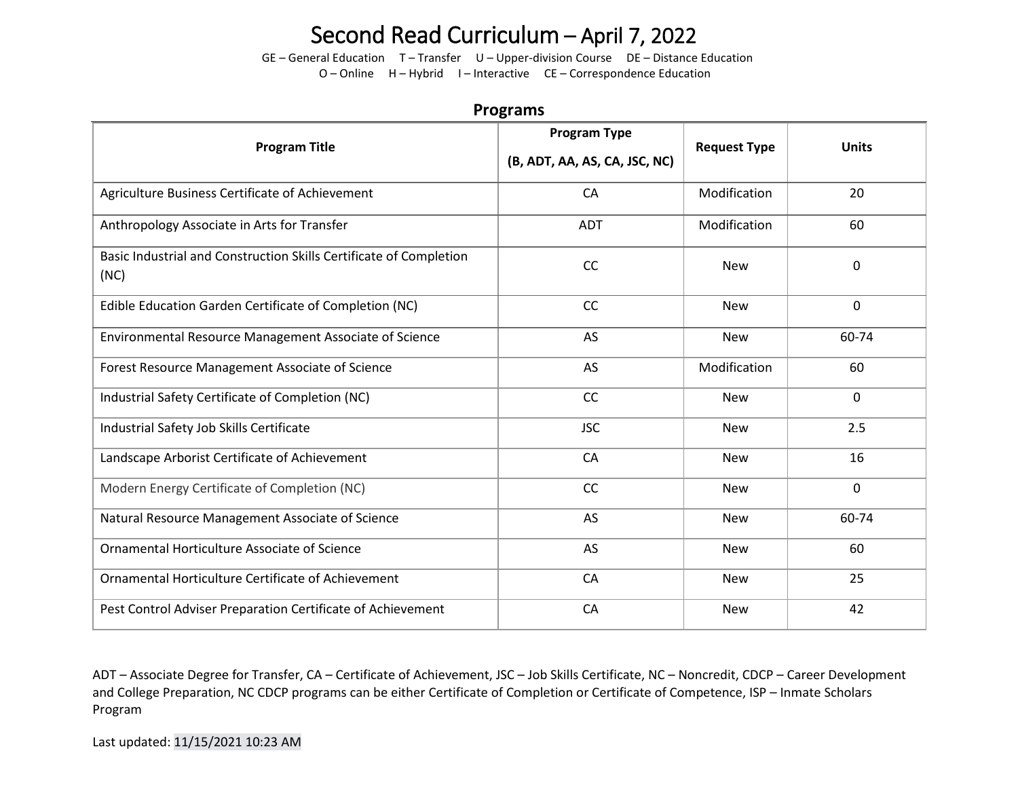GE – General Education T – Transfer U – Upper-division Course DE – Distance Education

O – Online H – Hybrid I – Interactive CE – Correspondence Education

|                                                                            | .                                                    |                     |              |
|----------------------------------------------------------------------------|------------------------------------------------------|---------------------|--------------|
| <b>Program Title</b>                                                       | <b>Program Type</b><br>(B, ADT, AA, AS, CA, JSC, NC) | <b>Request Type</b> | <b>Units</b> |
| Agriculture Business Certificate of Achievement                            | CA                                                   | Modification        | 20           |
| Anthropology Associate in Arts for Transfer                                | <b>ADT</b>                                           | Modification        | 60           |
| Basic Industrial and Construction Skills Certificate of Completion<br>(NC) | CC                                                   | <b>New</b>          | $\mathbf{0}$ |
| Edible Education Garden Certificate of Completion (NC)                     | CC                                                   | <b>New</b>          | $\mathbf 0$  |
| Environmental Resource Management Associate of Science                     | AS                                                   | <b>New</b>          | 60-74        |
| Forest Resource Management Associate of Science                            | AS                                                   | Modification        | 60           |
| Industrial Safety Certificate of Completion (NC)                           | CC                                                   | <b>New</b>          | $\mathbf 0$  |
| Industrial Safety Job Skills Certificate                                   | <b>JSC</b>                                           | <b>New</b>          | 2.5          |
| Landscape Arborist Certificate of Achievement                              | CA                                                   | <b>New</b>          | 16           |
| Modern Energy Certificate of Completion (NC)                               | CC                                                   | <b>New</b>          | $\mathbf 0$  |
| Natural Resource Management Associate of Science                           | AS                                                   | <b>New</b>          | 60-74        |
| Ornamental Horticulture Associate of Science                               | AS                                                   | <b>New</b>          | 60           |
| Ornamental Horticulture Certificate of Achievement                         | CA                                                   | <b>New</b>          | 25           |
| Pest Control Adviser Preparation Certificate of Achievement                | CA                                                   | <b>New</b>          | 42           |

**Programs** 

ADT – Associate Degree for Transfer, CA – Certificate of Achievement, JSC – Job Skills Certificate, NC – Noncredit, CDCP – Career Development and College Preparation, NC CDCP programs can be either Certificate of Completion or Certificate of Competence, ISP – Inmate Scholars Program